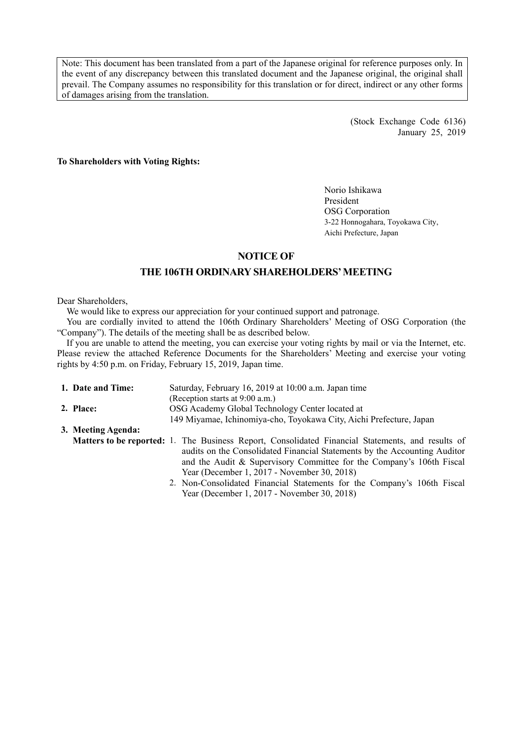Note: This document has been translated from a part of the Japanese original for reference purposes only. In the event of any discrepancy between this translated document and the Japanese original, the original shall prevail. The Company assumes no responsibility for this translation or for direct, indirect or any other forms of damages arising from the translation.

> (Stock Exchange Code 6136) January 25, 2019

**To Shareholders with Voting Rights:** 

Norio Ishikawa President OSG Corporation 3-22 Honnogahara, Toyokawa City, Aichi Prefecture, Japan

# **NOTICE OF**

# **THE 106TH ORDINARY SHAREHOLDERS' MEETING**

#### Dear Shareholders,

We would like to express our appreciation for your continued support and patronage.

You are cordially invited to attend the 106th Ordinary Shareholders' Meeting of OSG Corporation (the "Company"). The details of the meeting shall be as described below.

If you are unable to attend the meeting, you can exercise your voting rights by mail or via the Internet, etc. Please review the attached Reference Documents for the Shareholders' Meeting and exercise your voting rights by 4:50 p.m. on Friday, February 15, 2019, Japan time.

| Saturday, February 16, 2019 at 10:00 a.m. Japan time |                                                                                                   |  |  |
|------------------------------------------------------|---------------------------------------------------------------------------------------------------|--|--|
|                                                      | (Reception starts at 9:00 a.m.)                                                                   |  |  |
| OSG Academy Global Technology Center located at      |                                                                                                   |  |  |
|                                                      | 149 Miyamae, Ichinomiya-cho, Toyokawa City, Aichi Prefecture, Japan                               |  |  |
|                                                      |                                                                                                   |  |  |
|                                                      | Matters to be reported: 1. The Business Report, Consolidated Financial Statements, and results of |  |  |
|                                                      | audits on the Consolidated Financial Statements by the Accounting Auditor                         |  |  |
|                                                      | and the Audit & Supervisory Committee for the Company's 106th Fiscal                              |  |  |
|                                                      | Year (December 1, 2017 - November 30, 2018)                                                       |  |  |
|                                                      | 2. Non-Consolidated Financial Statements for the Company's 106th Fiscal                           |  |  |
| 1. Date and Time:<br>2. Place:<br>3. Meeting Agenda: |                                                                                                   |  |  |

Year (December 1, 2017 - November 30, 2018)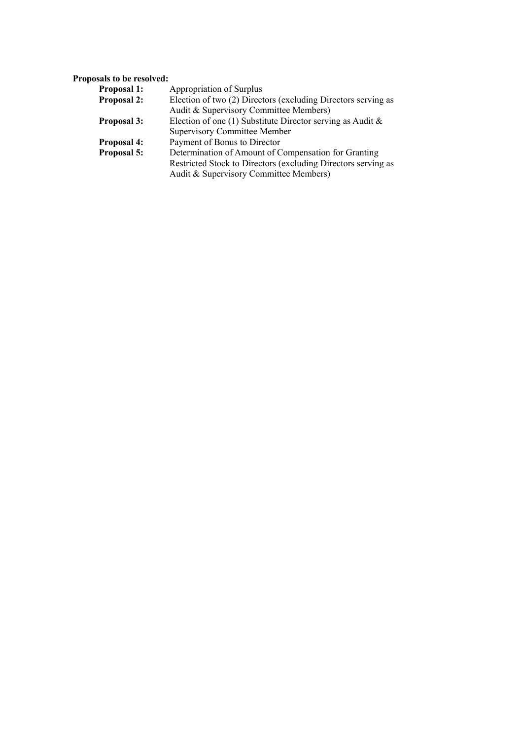# **Proposals to be resolved:**

| <b>Proposal 1:</b> | Appropriation of Surplus                                      |
|--------------------|---------------------------------------------------------------|
| <b>Proposal 2:</b> | Election of two (2) Directors (excluding Directors serving as |
|                    | Audit & Supervisory Committee Members)                        |
| <b>Proposal 3:</b> | Election of one (1) Substitute Director serving as Audit $\&$ |
|                    | <b>Supervisory Committee Member</b>                           |
| <b>Proposal 4:</b> | Payment of Bonus to Director                                  |
| Proposal 5:        | Determination of Amount of Compensation for Granting          |
|                    | Restricted Stock to Directors (excluding Directors serving as |
|                    | Audit & Supervisory Committee Members)                        |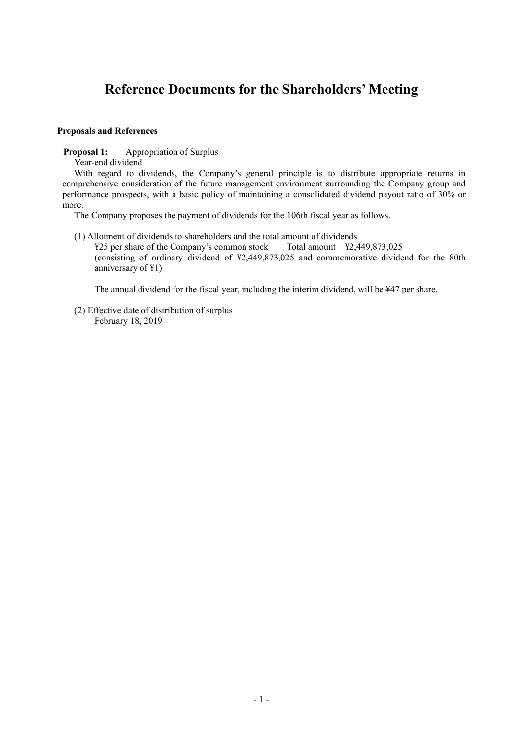# **Reference Documents for the Shareholders' Meeting**

#### **Proposals and References**

**Proposal 1:** Appropriation of Surplus

Year-end dividend

With regard to dividends, the Company's general principle is to distribute appropriate returns in comprehensive consideration of the future management environment surrounding the Company group and performance prospects, with a basic policy of maintaining a consolidated dividend payout ratio of 30% or more.

The Company proposes the payment of dividends for the 106th fiscal year as follows.

(1) Allotment of dividends to shareholders and the total amount of dividends

 ¥25 per share of the Company's common stock Total amount ¥2,449,873,025 (consisting of ordinary dividend of ¥2,449,873,025 and commemorative dividend for the 80th anniversary of ¥1)

The annual dividend for the fiscal year, including the interim dividend, will be ¥47 per share.

(2) Effective date of distribution of surplus February 18, 2019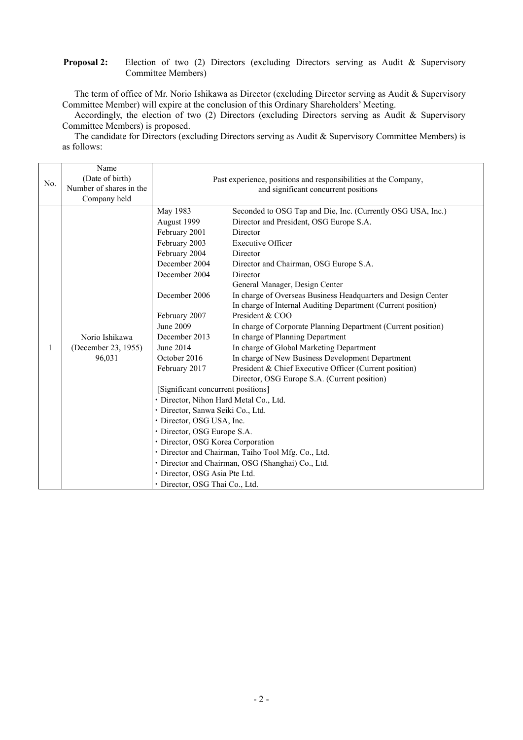## **Proposal 2:** Election of two (2) Directors (excluding Directors serving as Audit & Supervisory Committee Members)

The term of office of Mr. Norio Ishikawa as Director (excluding Director serving as Audit & Supervisory Committee Member) will expire at the conclusion of this Ordinary Shareholders' Meeting.

Accordingly, the election of two (2) Directors (excluding Directors serving as Audit & Supervisory Committee Members) is proposed.

The candidate for Directors (excluding Directors serving as Audit & Supervisory Committee Members) is as follows:

| No. | Name<br>(Date of birth)<br>Number of shares in the<br>Company held | Past experience, positions and responsibilities at the Company,<br>and significant concurrent positions                                                                                                                                                                                                                                                                                                                                                                                                             |                                                                                                                                                                                                                                                                                                                                                                                                                                                                                                                                                                                                                                                                                                                                                                                                                                  |  |  |
|-----|--------------------------------------------------------------------|---------------------------------------------------------------------------------------------------------------------------------------------------------------------------------------------------------------------------------------------------------------------------------------------------------------------------------------------------------------------------------------------------------------------------------------------------------------------------------------------------------------------|----------------------------------------------------------------------------------------------------------------------------------------------------------------------------------------------------------------------------------------------------------------------------------------------------------------------------------------------------------------------------------------------------------------------------------------------------------------------------------------------------------------------------------------------------------------------------------------------------------------------------------------------------------------------------------------------------------------------------------------------------------------------------------------------------------------------------------|--|--|
| 1   | Norio Ishikawa<br>(December 23, 1955)<br>96,031                    | May 1983<br>August 1999<br>February 2001<br>February 2003<br>February 2004<br>December 2004<br>December 2004<br>December 2006<br>February 2007<br>June 2009<br>December 2013<br>June 2014<br>October 2016<br>February 2017<br>[Significant concurrent positions]<br>· Director, Nihon Hard Metal Co., Ltd.<br>· Director, Sanwa Seiki Co., Ltd.<br>· Director, OSG USA, Inc.<br>· Director, OSG Europe S.A.<br>· Director, OSG Korea Corporation<br>· Director, OSG Asia Pte Ltd.<br>· Director, OSG Thai Co., Ltd. | Seconded to OSG Tap and Die, Inc. (Currently OSG USA, Inc.)<br>Director and President, OSG Europe S.A.<br>Director<br><b>Executive Officer</b><br>Director<br>Director and Chairman, OSG Europe S.A.<br>Director<br>General Manager, Design Center<br>In charge of Overseas Business Headquarters and Design Center<br>In charge of Internal Auditing Department (Current position)<br>President & COO<br>In charge of Corporate Planning Department (Current position)<br>In charge of Planning Department<br>In charge of Global Marketing Department<br>In charge of New Business Development Department<br>President & Chief Executive Officer (Current position)<br>Director, OSG Europe S.A. (Current position)<br>· Director and Chairman, Taiho Tool Mfg. Co., Ltd.<br>· Director and Chairman, OSG (Shanghai) Co., Ltd. |  |  |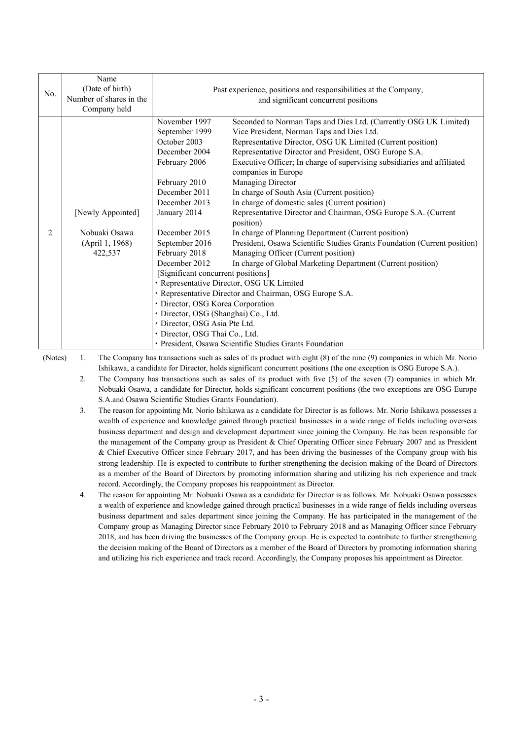| No. | Name<br>(Date of birth)<br>Number of shares in the<br>Company held | Past experience, positions and responsibilities at the Company,<br>and significant concurrent positions                                                                                                                                                                                                                                                                                                         |                                                                                                                                                                                                                                                                                                                                                                                                                                                                                                                                                                                                                                                                                                                                                                                                                                                                                                                                                         |  |
|-----|--------------------------------------------------------------------|-----------------------------------------------------------------------------------------------------------------------------------------------------------------------------------------------------------------------------------------------------------------------------------------------------------------------------------------------------------------------------------------------------------------|---------------------------------------------------------------------------------------------------------------------------------------------------------------------------------------------------------------------------------------------------------------------------------------------------------------------------------------------------------------------------------------------------------------------------------------------------------------------------------------------------------------------------------------------------------------------------------------------------------------------------------------------------------------------------------------------------------------------------------------------------------------------------------------------------------------------------------------------------------------------------------------------------------------------------------------------------------|--|
| 2   | [Newly Appointed]<br>Nobuaki Osawa<br>(April 1, 1968)<br>422,537   | November 1997<br>September 1999<br>October 2003<br>December 2004<br>February 2006<br>February 2010<br>December 2011<br>December 2013<br>January 2014<br>December 2015<br>September 2016<br>February 2018<br>December 2012<br>[Significant concurrent positions]<br>· Director, OSG Korea Corporation<br>· Director, OSG (Shanghai) Co., Ltd.<br>· Director, OSG Asia Pte Ltd.<br>· Director, OSG Thai Co., Ltd. | Seconded to Norman Taps and Dies Ltd. (Currently OSG UK Limited)<br>Vice President, Norman Taps and Dies Ltd.<br>Representative Director, OSG UK Limited (Current position)<br>Representative Director and President, OSG Europe S.A.<br>Executive Officer; In charge of supervising subsidiaries and affiliated<br>companies in Europe<br>Managing Director<br>In charge of South Asia (Current position)<br>In charge of domestic sales (Current position)<br>Representative Director and Chairman, OSG Europe S.A. (Current<br>position)<br>In charge of Planning Department (Current position)<br>President, Osawa Scientific Studies Grants Foundation (Current position)<br>Managing Officer (Current position)<br>In charge of Global Marketing Department (Current position)<br>· Representative Director, OSG UK Limited<br>· Representative Director and Chairman, OSG Europe S.A.<br>· President, Osawa Scientific Studies Grants Foundation |  |

(Notes) 1. The Company has transactions such as sales of its product with eight (8) of the nine (9) companies in which Mr. Norio Ishikawa, a candidate for Director, holds significant concurrent positions (the one exception is OSG Europe S.A.).

- 2. The Company has transactions such as sales of its product with five (5) of the seven (7) companies in which Mr. Nobuaki Osawa, a candidate for Director, holds significant concurrent positions (the two exceptions are OSG Europe S.A.and Osawa Scientific Studies Grants Foundation).
- 3. The reason for appointing Mr. Norio Ishikawa as a candidate for Director is as follows. Mr. Norio Ishikawa possesses a wealth of experience and knowledge gained through practical businesses in a wide range of fields including overseas business department and design and development department since joining the Company. He has been responsible for the management of the Company group as President & Chief Operating Officer since February 2007 and as President & Chief Executive Officer since February 2017, and has been driving the businesses of the Company group with his strong leadership. He is expected to contribute to further strengthening the decision making of the Board of Directors as a member of the Board of Directors by promoting information sharing and utilizing his rich experience and track record. Accordingly, the Company proposes his reappointment as Director.
- 4. The reason for appointing Mr. Nobuaki Osawa as a candidate for Director is as follows. Mr. Nobuaki Osawa possesses a wealth of experience and knowledge gained through practical businesses in a wide range of fields including overseas business department and sales department since joining the Company. He has participated in the management of the Company group as Managing Director since February 2010 to February 2018 and as Managing Officer since February 2018, and has been driving the businesses of the Company group. He is expected to contribute to further strengthening the decision making of the Board of Directors as a member of the Board of Directors by promoting information sharing and utilizing his rich experience and track record. Accordingly, the Company proposes his appointment as Director.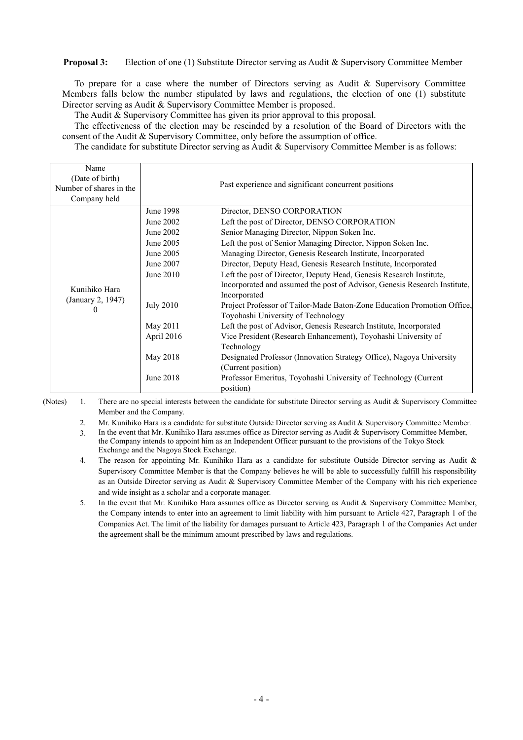**Proposal 3:** Election of one (1) Substitute Director serving as Audit & Supervisory Committee Member

To prepare for a case where the number of Directors serving as Audit & Supervisory Committee Members falls below the number stipulated by laws and regulations, the election of one (1) substitute Director serving as Audit & Supervisory Committee Member is proposed.

The Audit & Supervisory Committee has given its prior approval to this proposal.

The effectiveness of the election may be rescinded by a resolution of the Board of Directors with the consent of the Audit & Supervisory Committee, only before the assumption of office.

The candidate for substitute Director serving as Audit & Supervisory Committee Member is as follows:

| Name<br>(Date of birth)<br>Number of shares in the<br>Company held |                  | Past experience and significant concurrent positions                                                          |
|--------------------------------------------------------------------|------------------|---------------------------------------------------------------------------------------------------------------|
|                                                                    | June 1998        | Director, DENSO CORPORATION                                                                                   |
| Kunihiko Hara<br>(January 2, 1947)<br>$\theta$                     | June 2002        | Left the post of Director, DENSO CORPORATION                                                                  |
|                                                                    | June 2002        | Senior Managing Director, Nippon Soken Inc.                                                                   |
|                                                                    | June 2005        | Left the post of Senior Managing Director, Nippon Soken Inc.                                                  |
|                                                                    | June 2005        | Managing Director, Genesis Research Institute, Incorporated                                                   |
|                                                                    | June 2007        | Director, Deputy Head, Genesis Research Institute, Incorporated                                               |
|                                                                    | June $2010$      | Left the post of Director, Deputy Head, Genesis Research Institute,                                           |
|                                                                    |                  | Incorporated and assumed the post of Advisor, Genesis Research Institute,<br>Incorporated                     |
|                                                                    | <b>July 2010</b> | Project Professor of Tailor-Made Baton-Zone Education Promotion Office,<br>Toyohashi University of Technology |
|                                                                    | May 2011         | Left the post of Advisor, Genesis Research Institute, Incorporated                                            |
|                                                                    | April 2016       | Vice President (Research Enhancement), Toyohashi University of<br>Technology                                  |
|                                                                    | May 2018         | Designated Professor (Innovation Strategy Office), Nagoya University<br>(Current position)                    |
|                                                                    | June 2018        | Professor Emeritus, Toyohashi University of Technology (Current<br>position)                                  |

(Notes) 1. There are no special interests between the candidate for substitute Director serving as Audit & Supervisory Committee Member and the Company.

2. Mr. Kunihiko Hara is a candidate for substitute Outside Director serving as Audit & Supervisory Committee Member.

 3. In the event that Mr. Kunihiko Hara assumes office as Director serving as Audit & Supervisory Committee Member, the Company intends to appoint him as an Independent Officer pursuant to the provisions of the Tokyo Stock Exchange and the Nagoya Stock Exchange.

- 4. The reason for appointing Mr. Kunihiko Hara as a candidate for substitute Outside Director serving as Audit & Supervisory Committee Member is that the Company believes he will be able to successfully fulfill his responsibility as an Outside Director serving as Audit & Supervisory Committee Member of the Company with his rich experience and wide insight as a scholar and a corporate manager.
- 5. In the event that Mr. Kunihiko Hara assumes office as Director serving as Audit & Supervisory Committee Member, the Company intends to enter into an agreement to limit liability with him pursuant to Article 427, Paragraph 1 of the Companies Act. The limit of the liability for damages pursuant to Article 423, Paragraph 1 of the Companies Act under the agreement shall be the minimum amount prescribed by laws and regulations.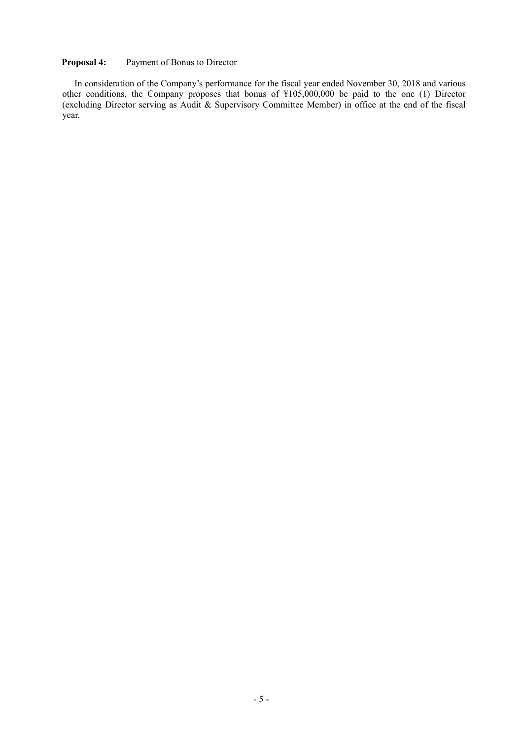## **Proposal 4:** Payment of Bonus to Director

In consideration of the Company's performance for the fiscal year ended November 30, 2018 and various other conditions, the Company proposes that bonus of ¥105,000,000 be paid to the one (1) Director (excluding Director serving as Audit & Supervisory Committee Member) in office at the end of the fiscal year.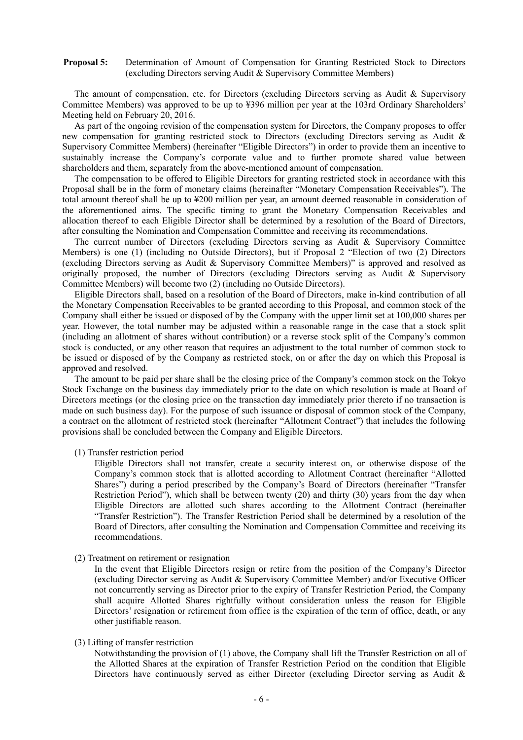#### **Proposal 5:** Determination of Amount of Compensation for Granting Restricted Stock to Directors (excluding Directors serving Audit  $\&$  Supervisory Committee Members)

The amount of compensation, etc. for Directors (excluding Directors serving as Audit & Supervisory Committee Members) was approved to be up to ¥396 million per year at the 103rd Ordinary Shareholders' Meeting held on February 20, 2016.

As part of the ongoing revision of the compensation system for Directors, the Company proposes to offer new compensation for granting restricted stock to Directors (excluding Directors serving as Audit & Supervisory Committee Members) (hereinafter "Eligible Directors") in order to provide them an incentive to sustainably increase the Company's corporate value and to further promote shared value between shareholders and them, separately from the above-mentioned amount of compensation.

The compensation to be offered to Eligible Directors for granting restricted stock in accordance with this Proposal shall be in the form of monetary claims (hereinafter "Monetary Compensation Receivables"). The total amount thereof shall be up to ¥200 million per year, an amount deemed reasonable in consideration of the aforementioned aims. The specific timing to grant the Monetary Compensation Receivables and allocation thereof to each Eligible Director shall be determined by a resolution of the Board of Directors, after consulting the Nomination and Compensation Committee and receiving its recommendations.

The current number of Directors (excluding Directors serving as Audit & Supervisory Committee Members) is one (1) (including no Outside Directors), but if Proposal 2 "Election of two (2) Directors (excluding Directors serving as Audit & Supervisory Committee Members)" is approved and resolved as originally proposed, the number of Directors (excluding Directors serving as Audit & Supervisory Committee Members) will become two (2) (including no Outside Directors).

Eligible Directors shall, based on a resolution of the Board of Directors, make in-kind contribution of all the Monetary Compensation Receivables to be granted according to this Proposal, and common stock of the Company shall either be issued or disposed of by the Company with the upper limit set at 100,000 shares per year. However, the total number may be adjusted within a reasonable range in the case that a stock split (including an allotment of shares without contribution) or a reverse stock split of the Company's common stock is conducted, or any other reason that requires an adjustment to the total number of common stock to be issued or disposed of by the Company as restricted stock, on or after the day on which this Proposal is approved and resolved.

The amount to be paid per share shall be the closing price of the Company's common stock on the Tokyo Stock Exchange on the business day immediately prior to the date on which resolution is made at Board of Directors meetings (or the closing price on the transaction day immediately prior thereto if no transaction is made on such business day). For the purpose of such issuance or disposal of common stock of the Company, a contract on the allotment of restricted stock (hereinafter "Allotment Contract") that includes the following provisions shall be concluded between the Company and Eligible Directors.

(1) Transfer restriction period

Eligible Directors shall not transfer, create a security interest on, or otherwise dispose of the Company's common stock that is allotted according to Allotment Contract (hereinafter "Allotted Shares") during a period prescribed by the Company's Board of Directors (hereinafter "Transfer Restriction Period"), which shall be between twenty (20) and thirty (30) years from the day when Eligible Directors are allotted such shares according to the Allotment Contract (hereinafter "Transfer Restriction"). The Transfer Restriction Period shall be determined by a resolution of the Board of Directors, after consulting the Nomination and Compensation Committee and receiving its recommendations.

(2) Treatment on retirement or resignation

In the event that Eligible Directors resign or retire from the position of the Company's Director (excluding Director serving as Audit & Supervisory Committee Member) and/or Executive Officer not concurrently serving as Director prior to the expiry of Transfer Restriction Period, the Company shall acquire Allotted Shares rightfully without consideration unless the reason for Eligible Directors' resignation or retirement from office is the expiration of the term of office, death, or any other justifiable reason.

#### (3) Lifting of transfer restriction

Notwithstanding the provision of (1) above, the Company shall lift the Transfer Restriction on all of the Allotted Shares at the expiration of Transfer Restriction Period on the condition that Eligible Directors have continuously served as either Director (excluding Director serving as Audit &